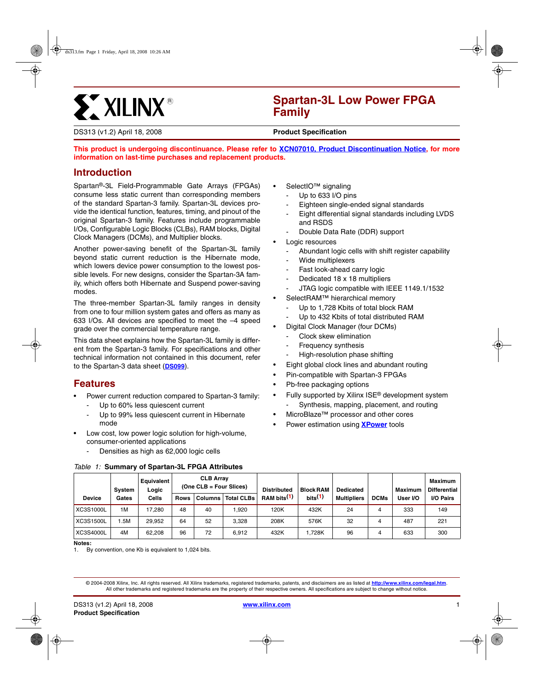# **ST XILINX®**

# **Spartan-3L Low Power FPGA Family**

DS313 (v1.2) April 18, 2008 **0 0 Product Specification**

**This product is undergoing discontinuance. Pl[ease refer to XCN07010, Product Discontinuation Notice, for](http://www.xilinx.com/support/documentation/customer_notices/xcn07010.pdf) more information on last-time purchases and replacement products.**

## **Introduction**

Spartan®-3L Field-Programmable Gate Arrays (FPGAs) consume less static current than corresponding members of the standard Spartan-3 family. Spartan-3L devices provide the identical function, features, timing, and pinout of the original Spartan-3 family. Features include programmable I/Os, Configurable Logic Blocks (CLBs), RAM blocks, Digital Clock Managers (DCMs), and Multiplier blocks.

Another power-saving benefit of the Spartan-3L family beyond static current reduction is the Hibernate mode, which lowers device power consumption to the lowest possible levels. For new designs, consider the Spartan-3A family, which offers both Hibernate and Suspend power-saving modes.

The three-member Spartan-3L family ranges in density from one to four million system gates and offers as many as 633 I/Os. All devices are specified to meet the –4 speed grade over the commercial temperature range.

This data sheet explains how the Spartan-3L family is different from the Spartan-3 family. For specifications and other technical information not contained in this document, refer to the Spartan-3 data sheet (**[DS099](http://www.xilinx.com/support/documentation/data_sheets/ds099.pdf)**).

## **Features**

- Power current reduction compared to Spartan-3 family:
	- Up to 60% less quiescent current
	- Up to 99% less quiescent current in Hibernate mode
- Low cost, low power logic solution for high-volume, consumer-oriented applications
	- Densities as high as 62,000 logic cells
- SelectIO<sup>™</sup> signaling
	- Up to 633 I/O pins
	- Eighteen single-ended signal standards
	- Eight differential signal standards including LVDS and RSDS
	- Double Data Rate (DDR) support
- Logic resources
	- Abundant logic cells with shift register capability
	- Wide multiplexers
	- Fast look-ahead carry logic
	- Dedicated 18 x 18 multipliers
	- JTAG logic compatible with IEEE 1149.1/1532
- SelectRAM™ hierarchical memory
	- Up to 1,728 Kbits of total block RAM
	- Up to 432 Kbits of total distributed RAM
- Digital Clock Manager (four DCMs)
	- Clock skew elimination
	- Frequency synthesis
	- High-resolution phase shifting
- Eight global clock lines and abundant routing
- Pin-compatible with Spartan-3 FPGAs
- Pb-free packaging options
- Fully supported by Xilinx ISE® development system Synthesis, mapping, placement, and routing
- MicroBlaze™ processor and other cores
- Power estimation using **[XPower](http://www.xilinx.com/power)** tools

|  |  |  | Table 1: Summary of Spartan-3L FPGA Attributes |
|--|--|--|------------------------------------------------|
|  |  |  |                                                |

|                  | Svstem | Equivalent<br>Logic |             | <b>CLB Array</b><br>$(One CLB = Four Slices)$ |                   | <b>Distributed</b>      | <b>Block RAM</b> | <b>Dedicated</b>   |             | Maximum  | Maximum<br><b>Differential</b> |
|------------------|--------|---------------------|-------------|-----------------------------------------------|-------------------|-------------------------|------------------|--------------------|-------------|----------|--------------------------------|
| <b>Device</b>    | Gates  | Cells               | <b>Rows</b> | <b>Columns</b>                                | <b>Total CLBs</b> | RAM bits <sup>(1)</sup> | $_{\rm bits}(1)$ | <b>Multipliers</b> | <b>DCMs</b> | User I/O | I/O Pairs                      |
| XC3S1000L        | 1M     | 17.280              | 48          | 40                                            | .920              | 120K                    | 432K             | 24                 | 4           | 333      | 149                            |
| <b>XC3S1500L</b> | .5M    | 29.952              | 64          | 52                                            | 3.328             | 208K                    | 576K             | 32                 | 4           | 487      | 221                            |
| XC3S4000L        | 4M     | 62.208              | 96          | 72                                            | 6.912             | 432K                    | 1.728K           | 96                 | 4           | 633      | 300                            |

**Notes:** 

<span id="page-0-0"></span>1. By convention, one Kb is equivalent to 1,024 bits.

<sup>© 200</sup>4-2008 Xilinx, Inc. All rights reserved. All Xilinx trademarks, registered trademarks, patents, and disclaimers are as listed at **<http://www.xilinx.com/legal.htm>**. All other trademarks and registered trademarks are the property of their respective owners. All specifications are subject to change without notice.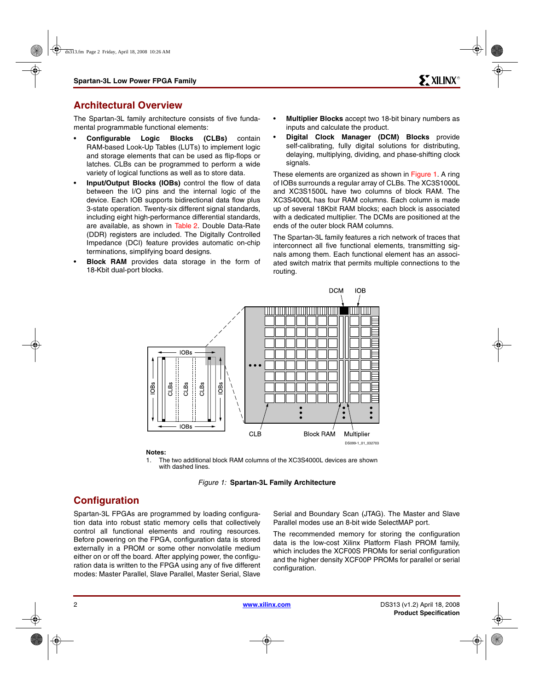## **Architectural Overview**

The Spartan-3L family architecture consists of five fundamental programmable functional elements:

- **Configurable Logic Blocks (CLBs)** contain RAM-based Look-Up Tables (LUTs) to implement logic and storage elements that can be used as flip-flops or latches. CLBs can be programmed to perform a wide variety of logical functions as well as to store data.
- **Input/Output Blocks (IOBs)** control the flow of data between the I/O pins and the internal logic of the device. Each IOB supports bidirectional data flow plus 3-state operation. Twenty-six different signal standards, including eight high-performance differential standards, are available, as shown in [Table 2.](#page-2-0) Double Data-Rate (DDR) registers are included. The Digitally Controlled Impedance (DCI) feature provides automatic on-chip terminations, simplifying board designs.
- **Block RAM** provides data storage in the form of 18-Kbit dual-port blocks.
- **Multiplier Blocks** accept two 18-bit binary numbers as inputs and calculate the product.
- **Digital Clock Manager (DCM) Blocks** provide self-calibrating, fully digital solutions for distributing, delaying, multiplying, dividing, and phase-shifting clock signals.

These elements are organized as shown in [Figure 1](#page-1-0). A ring of IOBs surrounds a regular array of CLBs. The XC3S1000L and XC3S1500L have two columns of block RAM. The XC3S4000L has four RAM columns. Each column is made up of several 18Kbit RAM blocks; each block is associated with a dedicated multiplier. The DCMs are positioned at the ends of the outer block RAM columns.

The Spartan-3L family features a rich network of traces that interconnect all five functional elements, transmitting signals among them. Each functional element has an associated switch matrix that permits multiple connections to the routing.



#### **Notes:**

1. The two additional block RAM columns of the XC3S4000L devices are shown with dashed lines.



# <span id="page-1-0"></span>**Configuration**

Spartan-3L FPGAs are programmed by loading configuration data into robust static memory cells that collectively control all functional elements and routing resources. Before powering on the FPGA, configuration data is stored externally in a PROM or some other nonvolatile medium either on or off the board. After applying power, the configuration data is written to the FPGA using any of five different modes: Master Parallel, Slave Parallel, Master Serial, Slave

Serial and Boundary Scan (JTAG). The Master and Slave Parallel modes use an 8-bit wide SelectMAP port.

The recommended memory for storing the configuration data is the low-cost Xilinx Platform Flash PROM family, which includes the XCF00S PROMs for serial configuration and the higher density XCF00P PROMs for parallel or serial configuration.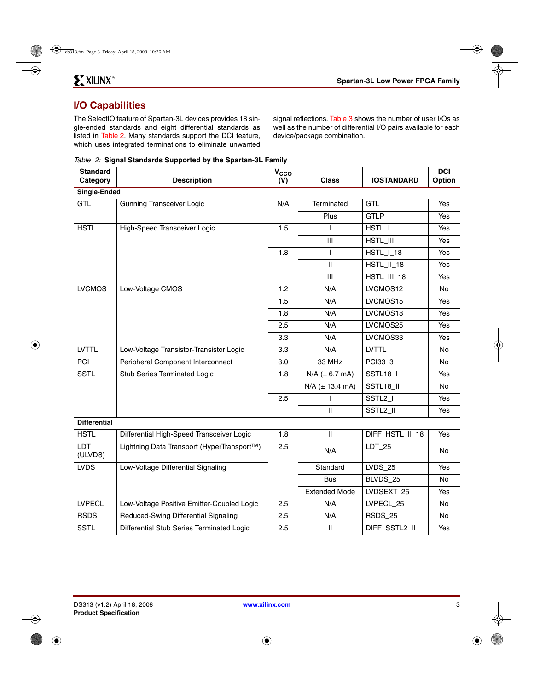## **I/O Capabilities**

The SelectIO feature of Spartan-3L devices provides 18 single-ended standards and eight differential standards as listed in [Table 2](#page-2-0). Many standards support the DCI feature, which uses integrated terminations to eliminate unwanted signal reflections. [Table 3](#page-3-0) shows the number of user I/Os as well as the number of differential I/O pairs available for each device/package combination.

<span id="page-2-0"></span>

|  | Table 2: Signal Standards Supported by the Spartan-3L Family |  |  |
|--|--------------------------------------------------------------|--|--|
|  |                                                              |  |  |

| <b>Standard</b><br>Category | <b>Description</b>                         | V <sub>CCO</sub><br>(V) | <b>Class</b>           | <b>IOSTANDARD</b>   | <b>DCI</b><br>Option |
|-----------------------------|--------------------------------------------|-------------------------|------------------------|---------------------|----------------------|
| Single-Ended                |                                            |                         |                        |                     |                      |
| <b>GTL</b>                  | <b>Gunning Transceiver Logic</b>           | N/A                     | Terminated             | GTL                 | Yes                  |
|                             |                                            |                         | Plus                   | <b>GTLP</b>         | Yes                  |
| <b>HSTL</b>                 | High-Speed Transceiver Logic               | 1.5                     | ı                      | HSTL_I              | Yes                  |
|                             |                                            |                         | III                    | HSTL III            | Yes                  |
|                             |                                            | 1.8                     | ı                      | HSTL_I_18           | Yes                  |
|                             |                                            |                         | $\mathbf{I}$           | HSTL_II_18          | <b>Yes</b>           |
|                             |                                            |                         | III                    | HSTL_III_18         | Yes                  |
| <b>LVCMOS</b>               | Low-Voltage CMOS                           | 1.2                     | N/A                    | LVCMOS12            | No.                  |
|                             |                                            | 1.5                     | N/A                    | LVCMOS15            | Yes                  |
|                             |                                            | 1.8                     | N/A                    | LVCMOS18            | Yes                  |
|                             |                                            | 2.5                     | N/A                    | LVCMOS25            | Yes                  |
|                             |                                            | 3.3                     | N/A                    | LVCMOS33            | Yes                  |
| <b>LVTTL</b>                | Low-Voltage Transistor-Transistor Logic    | 3.3                     | N/A                    | <b>LVTTL</b>        | No                   |
| PCI                         | Peripheral Component Interconnect          | 3.0                     | 33 MHz                 | PCI33 3             | No.                  |
| <b>SSTL</b>                 | Stub Series Terminated Logic               | 1.8                     | $N/A$ ( $\pm$ 6.7 mA)  | SSTL18_I            | Yes                  |
|                             |                                            |                         | $N/A$ ( $\pm$ 13.4 mA) | SSTL18_II           | No                   |
|                             |                                            | 2.5                     |                        | SSTL <sub>2</sub> I | Yes                  |
|                             |                                            |                         | $\mathbf{H}$           | SSTL2_II            | Yes                  |
| <b>Differential</b>         |                                            |                         |                        |                     |                      |
| <b>HSTL</b>                 | Differential High-Speed Transceiver Logic  | 1.8                     | $\mathbf{II}$          | DIFF_HSTL_II_18     | Yes                  |
| <b>LDT</b><br>(ULVDS)       | Lightning Data Transport (HyperTransport™) | 2.5                     | N/A                    | LDT 25              | No                   |
| <b>LVDS</b>                 | Low-Voltage Differential Signaling         |                         | Standard               | $LVDS_25$           | Yes                  |
|                             |                                            |                         | <b>Bus</b>             | BLVDS_25            | <b>No</b>            |
|                             |                                            |                         | <b>Extended Mode</b>   | LVDSEXT 25          | Yes                  |
| <b>LVPECL</b>               | Low-Voltage Positive Emitter-Coupled Logic | 2.5                     | N/A                    | LVPECL 25           | No                   |
| <b>RSDS</b>                 | Reduced-Swing Differential Signaling       | 2.5                     | N/A                    | RSDS 25             | No.                  |
| <b>SSTL</b>                 | Differential Stub Series Terminated Logic  | 2.5                     | $\mathbf{H}$           | DIFF_SSTL2_II       | Yes                  |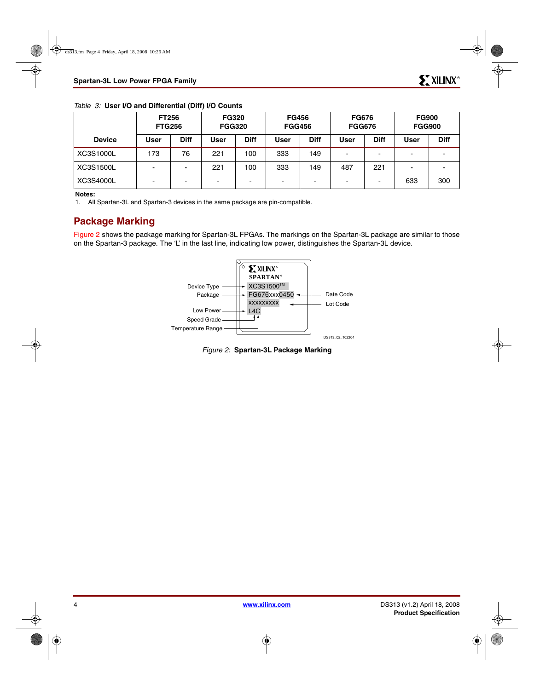<span id="page-3-0"></span>

|  |  |  |  |  |  | Table 3: User I/O and Differential (Diff) I/O Counts |
|--|--|--|--|--|--|------------------------------------------------------|
|--|--|--|--|--|--|------------------------------------------------------|

|               | <b>FT256</b><br><b>FTG256</b> |           | <b>FG320</b><br><b>FGG320</b> |             | <b>FG456</b><br><b>FGG456</b> |             | <b>FG676</b><br><b>FGG676</b> |             | <b>FG900</b><br><b>FGG900</b> |             |
|---------------|-------------------------------|-----------|-------------------------------|-------------|-------------------------------|-------------|-------------------------------|-------------|-------------------------------|-------------|
| <b>Device</b> | User                          | Diff      | <b>User</b>                   | <b>Diff</b> | <b>User</b>                   | <b>Diff</b> | User                          | <b>Diff</b> | User                          | <b>Diff</b> |
| XC3S1000L     | 173                           | 76        | 221                           | 100         | 333                           | 149         |                               |             | -                             |             |
| XC3S1500L     | $\overline{\phantom{0}}$      | <b>11</b> | 221                           | 100         | 333                           | 149         | 487                           | 221         | -                             |             |
| XC3S4000L     | $\blacksquare$                |           |                               | -           | $\blacksquare$                |             |                               |             | 633                           | 300         |

#### **Notes:**

1. All Spartan-3L and Spartan-3 devices in the same package are pin-compatible.

## **Package Marking**

<span id="page-3-1"></span>[Figure 2](#page-3-1) shows the package marking for Spartan-3L FPGAs. The markings on the Spartan-3L package are similar to those on the Spartan-3 package. The 'L' in the last line, indicating low power, distinguishes the Spartan-3L device.



*Figure 2:* **Spartan-3L Package Marking**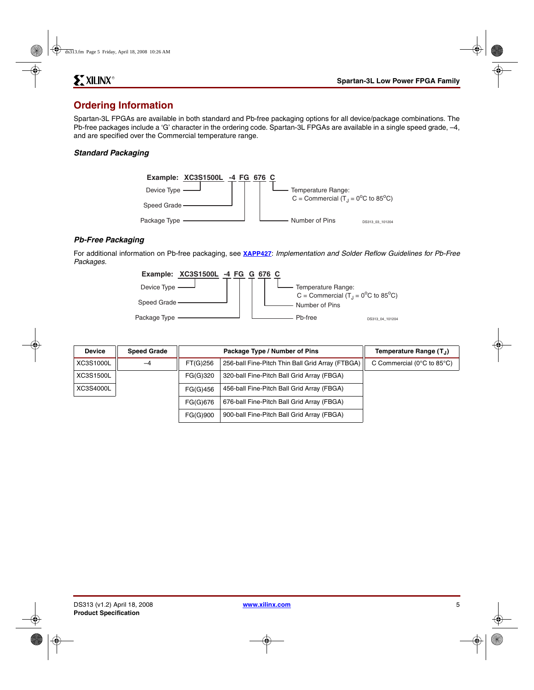## **Ordering Information**

Spartan-3L FPGAs are available in both standard and Pb-free packaging options for all device/package combinations. The Pb-free packages include a 'G' character in the ordering code. Spartan-3L FPGAs are available in a single speed grade, –4, and are specified over the Commercial temperature range.

#### *Standard Packaging*



### *Pb-Free Packaging*

For additional information on Pb-free packaging, see **[XAPP427](http://www.xilinx.com/support/documentation/application_notes/xapp427.pdf)**: *Implementation and Solder Reflow Guidelines for Pb-Free Packages.*



| <b>Device</b> | <b>Speed Grade</b> |          | Package Type / Number of Pins                    | Temperature Range (T <sub>.I</sub> )             |
|---------------|--------------------|----------|--------------------------------------------------|--------------------------------------------------|
| XC3S1000L     | $-4$               | FT(G)256 | 256-ball Fine-Pitch Thin Ball Grid Array (FTBGA) | C Commercial ( $0^{\circ}$ C to 85 $^{\circ}$ C) |
| XC3S1500L     |                    | FG(G)320 | 320-ball Fine-Pitch Ball Grid Array (FBGA)       |                                                  |
| XC3S4000L     |                    | FG(G)456 | 456-ball Fine-Pitch Ball Grid Array (FBGA)       |                                                  |
|               |                    | FG(G)676 | 676-ball Fine-Pitch Ball Grid Array (FBGA)       |                                                  |
|               |                    | FG(G)900 | 900-ball Fine-Pitch Ball Grid Array (FBGA)       |                                                  |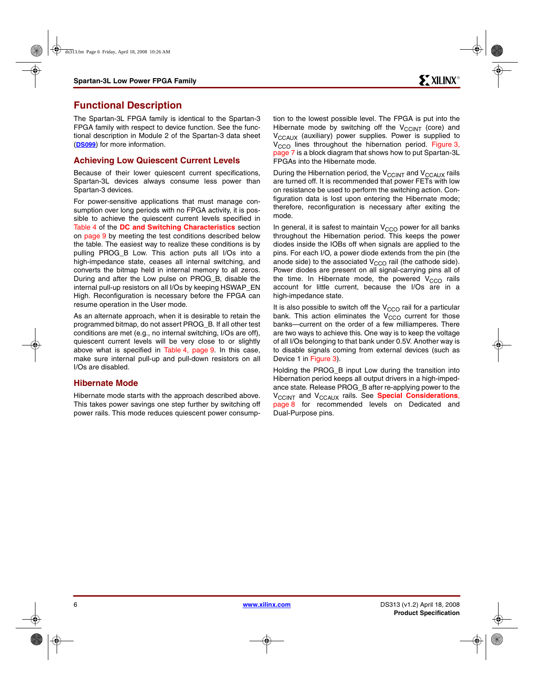## **Functional Description**

The Spartan-3L FPGA family is identical to the Spartan-3 FPGA family with respect to device function. See the functional description in Module 2 of the Spartan-3 data sheet (**[DS099](http://www.xilinx.com/support/documentation/data_sheets/ds099.pdf)**) for more information.

#### <span id="page-5-0"></span>**Achieving Low Quiescent Current Levels**

Because of their lower quiescent current specifications, Spartan-3L devices always consume less power than Spartan-3 devices.

For power-sensitive applications that must manage consumption over long periods with no FPGA activity, it is possible to achieve the quiescent current levels specified in [Table 4](#page-8-1) of the **[DC and Switching Characteristics](#page-8-0)** section on [page 9](#page-8-1) by meeting the test conditions described below the table. The easiest way to realize these conditions is by pulling PROG\_B Low. This action puts all I/Os into a high-impedance state, ceases all internal switching, and converts the bitmap held in internal memory to all zeros. During and after the Low pulse on PROG\_B, disable the internal pull-up resistors on all I/Os by keeping HSWAP\_EN High. Reconfiguration is necessary before the FPGA can resume operation in the User mode.

As an alternate approach, when it is desirable to retain the programmed bitmap, do not assert PROG\_B. If all other test conditions are met (e.g., no internal switching, I/Os are off), quiescent current levels will be very close to or slightly above what is specified in [Table 4, page 9.](#page-8-1) In this case, make sure internal pull-up and pull-down resistors on all I/Os are disabled.

#### **Hibernate Mode**

Hibernate mode starts with the approach described above. This takes power savings one step further by switching off power rails. This mode reduces quiescent power consumption to the lowest possible level. The FPGA is put into the Hibernate mode by switching off the  $V_{\text{CCINT}}$  (core) and V<sub>CCAUX</sub> (auxiliary) power supplies. Power is supplied to V<sub>CCO</sub> lines throughout the hibernation period. [Figure 3,](#page-6-0) [page 7](#page-6-0) is a block diagram that shows how to put Spartan-3L FPGAs into the Hibernate mode.

During the Hibernation period, the  $V_{\text{CCINT}}$  and  $V_{\text{CCAUX}}$  rails are turned off. It is recommended that power FETs with low on resistance be used to perform the switching action. Configuration data is lost upon entering the Hibernate mode; therefore, reconfiguration is necessary after exiting the mode.

In general, it is safest to maintain  $V_{CCO}$  power for all banks throughout the Hibernation period. This keeps the power diodes inside the IOBs off when signals are applied to the pins. For each I/O, a power diode extends from the pin (the anode side) to the associated  $V_{CCO}$  rail (the cathode side). Power diodes are present on all signal-carrying pins all of the time. In Hibernate mode, the powered  $V<sub>CCO</sub>$  rails account for little current, because the I/Os are in a high-impedance state.

It is also possible to switch off the  $V_{CCO}$  rail for a particular bank. This action eliminates the  $V_{CCO}$  current for those banks—current on the order of a few milliamperes. There are two ways to achieve this. One way is to keep the voltage of all I/Os belonging to that bank under 0.5V. Another way is to disable signals coming from external devices (such as Device 1 in [Figure 3](#page-6-0)).

Holding the PROG\_B input Low during the transition into Hibernation period keeps all output drivers in a high-impedance state. Release PROG\_B after re-applying power to the V<sub>CCINT</sub> and V<sub>CCAUX</sub> rails. See **[Special Considerations](#page-7-0)**, [page 8](#page-7-0) for recommended levels on Dedicated and Dual-Purpose pins.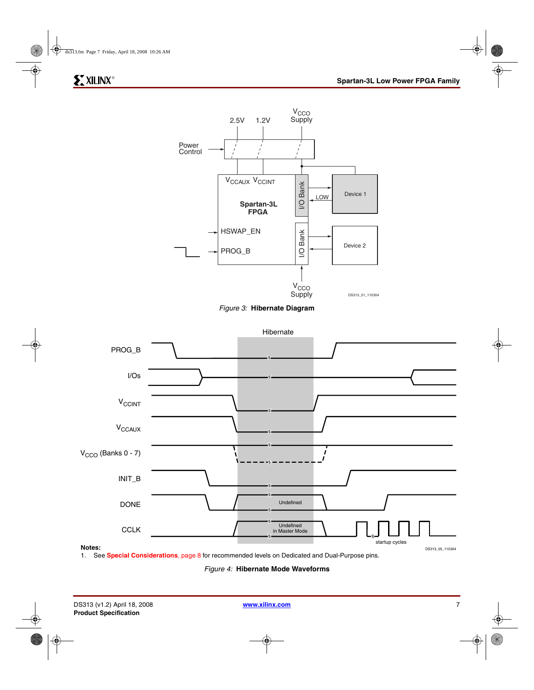





<span id="page-6-0"></span>

<span id="page-6-1"></span>1. See **[Special Considerations](#page-7-0)**, page 8 for recommended levels on Dedicated and Dual-Purpose pins.

*Figure 4:* **Hibernate Mode Waveforms**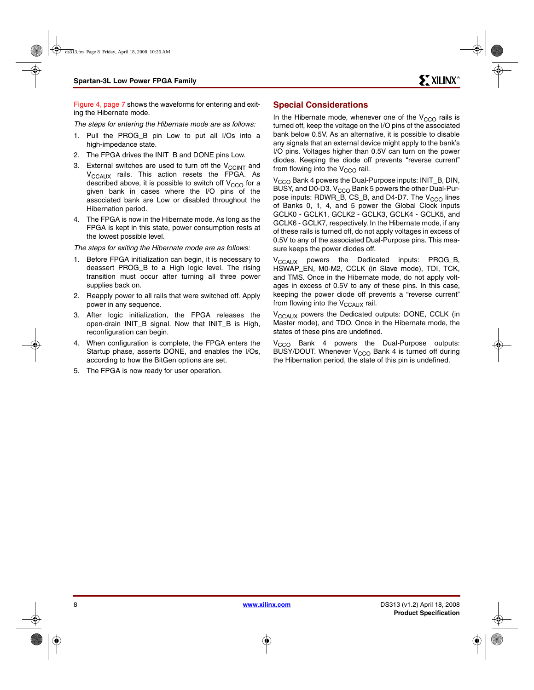[Figure 4, page 7](#page-6-1) shows the waveforms for entering and exiting the Hibernate mode.

*The steps for entering the Hibernate mode are as follows:*

- 1. Pull the PROG\_B pin Low to put all I/Os into a high-impedance state.
- 2. The FPGA drives the INIT\_B and DONE pins Low.
- 3. External switches are used to turn off the  $V_{\text{CCINT}}$  and  $V_{\text{CCAI}X}$  rails. This action resets the FPGA. As described above, it is possible to switch off  $V_{CCO}$  for a given bank in cases where the I/O pins of the associated bank are Low or disabled throughout the Hibernation period.
- 4. The FPGA is now in the Hibernate mode. As long as the FPGA is kept in this state, power consumption rests at the lowest possible level.

*The steps for exiting the Hibernate mode are as follows:*

- 1. Before FPGA initialization can begin, it is necessary to deassert PROG\_B to a High logic level. The rising transition must occur after turning all three power supplies back on.
- <span id="page-7-1"></span>2. Reapply power to all rails that were switched off. Apply power in any sequence.
- 3. After logic initialization, the FPGA releases the open-drain INIT\_B signal. Now that INIT\_B is High, reconfiguration can begin.
- When configuration is complete, the FPGA enters the Startup phase, asserts DONE, and enables the I/Os, according to how the BitGen options are set.
- 5. The FPGA is now ready for user operation.

## <span id="page-7-0"></span>**Special Considerations**

In the Hibernate mode, whenever one of the  $V_{CCO}$  rails is turned off, keep the voltage on the I/O pins of the associated bank below 0.5V. As an alternative, it is possible to disable any signals that an external device might apply to the bank's I/O pins. Voltages higher than 0.5V can turn on the power diodes. Keeping the diode off prevents "reverse current" from flowing into the  $V_{CCO}$  rail.

V<sub>CCO</sub> Bank 4 powers the Dual-Purpose inputs: INIT\_B, DIN, BUSY, and D0-D3.  $V_{CCO}$  Bank 5 powers the other Dual-Purpose inputs: RDWR\_B, CS\_B, and D4-D7. The  $V_{CCO}$  lines of Banks 0, 1, 4, and 5 power the Global Clock inputs GCLK0 - GCLK1, GCLK2 - GCLK3, GCLK4 - GCLK5, and GCLK6 - GCLK7, respectively. In the Hibernate mode, if any of these rails is turned off, do not apply voltages in excess of 0.5V to any of the associated Dual-Purpose pins. This measure keeps the power diodes off.

 $V_{CCAUX}$  powers the Dedicated inputs: PROG\_B, HSWAP\_EN, M0-M2, CCLK (in Slave mode), TDI, TCK, and TMS. Once in the Hibernate mode, do not apply voltages in excess of 0.5V to any of these pins. In this case, keeping the power diode off prevents a "reverse current" from flowing into the  $V_{\text{CCAUX}}$  rail.

V<sub>CCAUX</sub> powers the Dedicated outputs: DONE, CCLK (in Master mode), and TDO. Once in the Hibernate mode, the states of these pins are undefined.

 $V<sub>CCO</sub>$  Bank 4 powers the Dual-Purpose outputs: BUSY/DOUT. Whenever  $V_{CCO}$  Bank 4 is turned off during the Hibernation period, the state of this pin is undefined.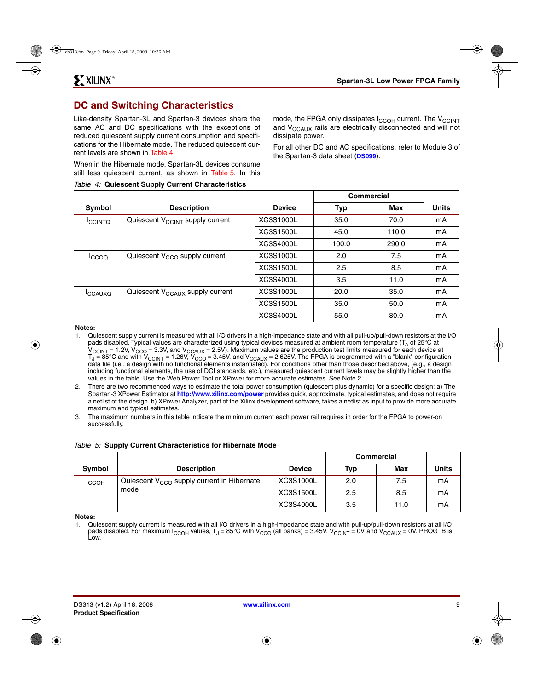## <span id="page-8-0"></span>**DC and Switching Characteristics**

Like-density Spartan-3L and Spartan-3 devices share the same AC and DC specifications with the exceptions of reduced quiescent supply current consumption and specifications for the Hibernate mode. The reduced quiescent current levels are shown in [Table 4.](#page-8-1)

When in the Hibernate mode, Spartan-3L devices consume still less quiescent current, as shown in [Table 5](#page-8-2). In this

<span id="page-8-1"></span>*Table 4:* **Quiescent Supply Current Characteristics**

mode, the FPGA only dissipates I<sub>CCOH</sub> current. The V<sub>CCINT</sub> and V<sub>CCAUX</sub> rails are electrically disconnected and will not dissipate power.

For all other DC and AC specifications, refer to Module 3 of the Spartan-3 data sheet (**[DS099](http://www.xilinx.com/support/documentation/data_sheets/ds099.pdf)**).

|                     |                                             |               | Commercial |       |              |
|---------------------|---------------------------------------------|---------------|------------|-------|--------------|
| Symbol              | <b>Description</b>                          | <b>Device</b> | <b>Typ</b> | Max   | <b>Units</b> |
| <b>ICCINTQ</b>      | Quiescent V <sub>CCINT</sub> supply current | XC3S1000L     | 35.0       | 70.0  | mA           |
|                     |                                             | XC3S1500L     | 45.0       | 110.0 | mA           |
|                     |                                             | XC3S4000L     | 100.0      | 290.0 | mA           |
| <sup>I</sup> ccoo   | Quiescent $V_{CCO}$ supply current          | XC3S1000L     | 2.0        | 7.5   | mA           |
|                     |                                             | XC3S1500L     | 2.5        | 8.5   | mA           |
|                     |                                             | XC3S4000L     | 3.5        | 11.0  | mA           |
| <sup>I</sup> CCAUXO | Quiescent V <sub>CCAUX</sub> supply current | XC3S1000L     | 20.0       | 35.0  | mA           |
|                     |                                             | XC3S1500L     | 35.0       | 50.0  | mA           |
|                     |                                             | XC3S4000L     | 55.0       | 80.0  | mA           |

**Notes:** 

Quiescent supply current is measured with all I/O drivers in a high-impedance state and with all pull-up/pull-down resistors at the I/O pads disabled. Typical values are characterized using typical devices measured at ambient room temperature ( $T_A$  of 25 $\degree$ C at  $\rm{V_{CClNT}}$  = 1.2V,  $\rm{V_{CCO}}$  = 3.3V, and  $\rm{V_{CCAUX}}$  = 2.5V). Maximum values are the production test limits measured for each device at  ${\tt T_J}$  = 85°C and with V $_{\rm CCINT}$  = 1.26V, V $_{\rm CCO}$  = 3.45V, and V $_{\rm CCAUX}$  = 2.625V. The FPGA is programmed with a "blank" configuration data file (i.e., a design with no functional elements instantiated). For conditions other than those described above, (e.g., a design including functional elements, the use of DCI standards, etc.), measured quiescent current levels may be slightly higher than the values in the table. Use the Web Power Tool or XPower for more accurate estimates. See Note 2.

- 2. There are two recommended ways to estimate the total power consumption (quiescent plus dynamic) for a specific design: a) The Spartan-3 XPower Estimator at **<http://www.xilinx.com/power>** provides quick, approximate, typical estimates, and does not require a netlist of the design. b) XPower Analyzer, part of the Xilinx development software, takes a netlist as input to provide more accurate maximum and typical estimates.
- 3. The maximum numbers in this table indicate the minimum current each power rail requires in order for the FPGA to power-on successfully.

#### <span id="page-8-2"></span>*Table 5:* **Supply Current Characteristics for Hibernate Mode**

|               |                                                 |               | <b>Commercial</b> |      |       |
|---------------|-------------------------------------------------|---------------|-------------------|------|-------|
| <b>Symbol</b> | <b>Description</b>                              | <b>Device</b> | Typ               | Max  | Units |
| <b>ICCOH</b>  | Quiescent $V_{CCO}$ supply current in Hibernate | XC3S1000L     | 2.0               | 7.5  | mA    |
|               | mode                                            | XC3S1500L     | 2.5               | 8.5  | mA    |
|               |                                                 | XC3S4000L     | 3.5               | 11.0 | mA    |

**Notes:** 

1. Quiescent supply current is measured with all I/O drivers in a high-impedance state and with pull-up/pull-down resistors at all I/O pads disabled. For maximum  $I_{CCOH}$  values, T<sub>J</sub> = 85°C with  $V_{CCO}$  (all banks) = 3.45V.  $V_{CCINT}$  = 0V and  $V_{CCAUX}$  = 0V. PROG\_B is Low.